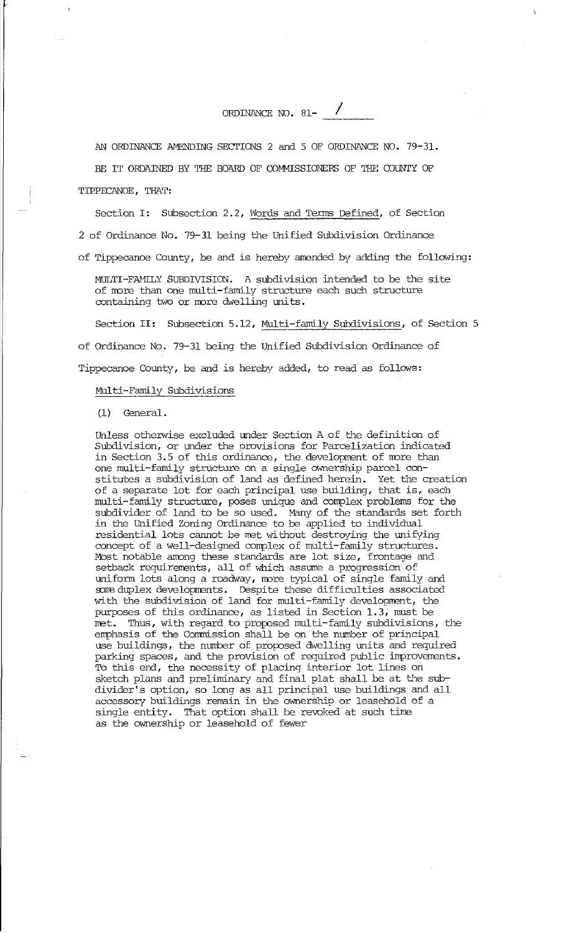ORDINANCE NO. 81- $\sqrt{ }$ 

AN ORDINANCE AMENDING SECTIONS 2 and 5 OF ORDINANCE NO. 79-31. BE IT ORDAINED BY THE BOARD OF COMMISSIONERS OF THE COUNTY OF

TIPPECANOE, THAT:

Section I: Subsection 2.2, Words and Terms Defined, of Section

2 of Ordinance No. 79-11 being the Unified Subdivision Ordinance

of Tippecanoe County, be and is hereby amended by adding the follcwing:

MULTI-FAMILY SUBDIVISION. A subdivision intended to be the site of more than one multi-family structure each such structure containing two or more dwelling units.

Section II: Subsection 5.12, Multi-family Subdivisions, of Section 5

of Ordinance No. 79-31 being the Unified Subdivision Ordinance of

Tippecanoe County, be and is hereby added, to read as follows:

## Multi-Family Subdivisions

(1) General.

Unless otherwise excluded under Section A of the definition of Subdivision, or under the provisions for Parcelization indicated in Section 3.5 of this ordinance, the development of more than one multi-family structure on a single ownership parcel constitutes a subdivision of land as defined herein. Yet the creation of a separate lot for each principal use building, that is, each multi-family structure, poses unique and complex problems for the subdivider of land to be so used. Many of the standards set forth in the Unified Zoning Ordinance to be applied to individual residential lots cannot be met without destroying the unifying concept of a well-designed complex of multi-family structures. Most notable among these standards are lot size, frontage and setback requirements, all of which assume a progression of uniform lots along a roadway, rrore typical of single family and some duplex developments. Despite these difficulties associated with the subdivision of land for multi-family development, the purposes of this ordinance, as listed in Section 1. 3, must be met. Thus, with regard to proposed multi-family subdivisions, the emphasis of the Commission shall be on the number of principal use buildings, the number of proposed dwelling units and required parking spaces, and the provision of required public improvements. To this end, the necessity of placing interior lot lines on sketch plans and preliminary and final plat shall be at the subdivider's option, so long as all principal use buildings and all accessory buildings remain in the ownership or leasehold of a single entity. That option shall be revoked at such time as the ownership or leasehold of fewer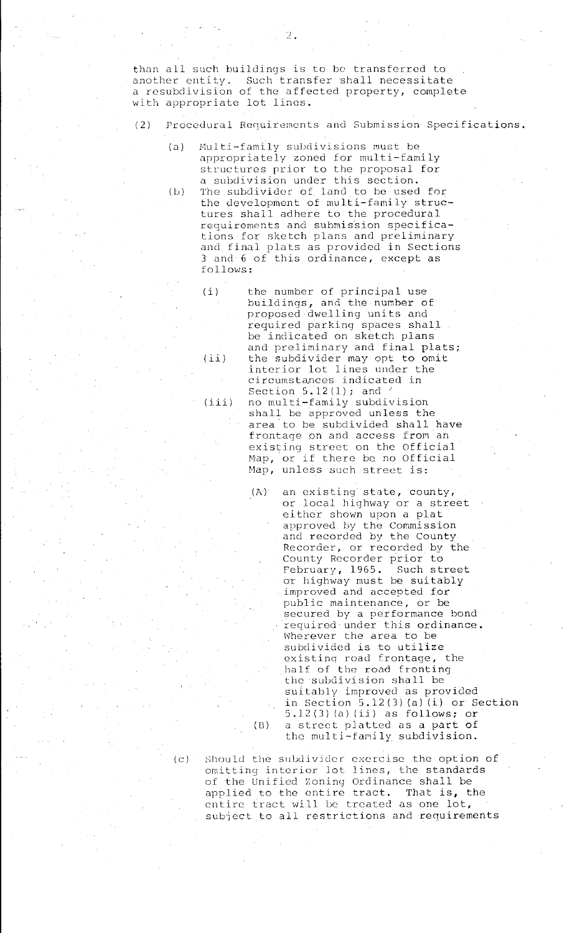than all such buildings is to be transferred to another entity. Such transfer shall necessitate a rcsubdivision of the affected property, complete with appropriate lot lines.

*2.* 

- (2) Procedural Requirements and Submission Specifications.
	- (a) Multi-family subdivisions must be appropriately zoned for multi-family structures prior to the proposal for a subdivision under this section.
	- (b) The subdivider of land to be used for the development of multi-family structures shall adhere to the procedural requirements and submission specifications for sketch plans and preliminary and final plats as provided in Sections 3 and 6 of this ordinance, except as follows:
		- ( i)  $(iii)$  $(iii)$ the number of principal use buildings, and the number of proposed dwelling units and required parking spaces shall be indicated on sketch plans and preliminary and final plats; the subdivider may opt to omit interior lot lines under the circumstances indicated in Section 5.12(1); and no multi-family subdivision shall be approved unless the area to be subdivided shall have frontage on and access from an existing street on the Official Map, or if there be no Official Map, unless such street is:
			- (A) an existing state, county, or local highway or a street either shown upon a plat approved by the Commission and recorded by the County Recorder, or recorded by the County Recorder prior to<br>February, 1965. Such street February,  $1965.$ or highway must be suitably improved and accepted for public maintenance, or be secured by a performance bond required under this ordinance. Wherever the area to be subdivided is to utilize existing road frontage, the half of the road fronting the subdivision shall be suitably improved as provided in Section 5.12(3) (a) (i) or Section 5.12(3) (a) (ii) as follows; or (13) a street platted as a part of the multi-family subdivision.

(c) should the subdivider exercise the option of omitting interior Jot lines, the standards of the Unified Zoning Ordinance shall be applied to the entire tract. That is, the entire tract will be treated as one lot, subiect to all restrictions and requirements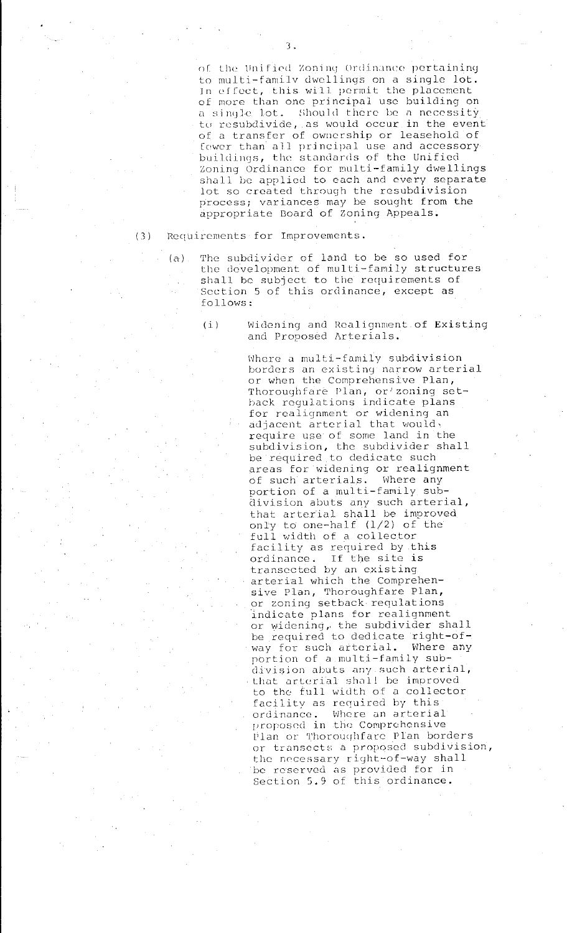of the Unified Zoning Ordinance pertaining to multi-familv dwellings on a single lot. In effect, this will permit the placement of more than one principal use building on a single lot. Should there be a necessity tu resubdivide, as would occur in the event of a transfer of ownership or leasehold of fewer than all principal use and accessory buildings, the standards of the Unified Zoning Ordinance for multi-family dwellings shall be applied to each and every separate lot so created through the rcsubdivision process; variances may be sought from the appropriate Board of Zoning Appeals.

( 3) Requirements for Improvements.

- (a) The subdivider of land to be so used for the development of multi-family structures shall be subject to the requirements of Section 5 of this ordinance, except as follows:
	- (i) Widening and Realignment of Existing and Proposed Arterials.

Where a multi-family subdivision **borders an existing narrow arterial**  or when the Comprehensive Plan, Thoroughfare Plan, or zoning setback regulations indicate plans for realignment or widening an adjacent arterial that would, require use of some land in the subdivision, the subdivider shall be required to dedicate such areas for widening or realignment Of such arterials. Where any portion of a multi-family subdivision abuts any such arterial, that arterial shall be improved only to one-half (1/2) of the full width of a collector facility as required by this ordinance. If the site is transected by an existing arterial which the Comprehenardorian necessary. or zoning setback requlations indicate plans for realignment or widening, the subdivider shall be required to dedicate right-ofway for such arterial. Where any portion of a multi-family subdivision abuts any such arterial, that arterial shall be improved to the full width of a collector facility as required by this ordinance. Where an arterial proposed in the Comprehensive Plan or Thoroughfare Plan borders or transects a proposed subdivision, the necessary right-of-way shall be reserved as provided for in Section 5.9 of this ordinance.